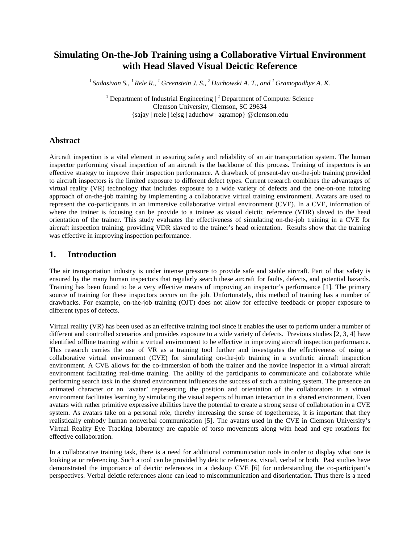# **Simulating On-the-Job Training using a Collaborative Virtual Environment with Head Slaved Visual Deictic Reference**

*<sup>1</sup>Sadasivan S., <sup>1</sup>Rele R., <sup>1</sup>Greenstein J. S., <sup>2</sup>Duchowski A. T., and <sup>1</sup>Gramopadhye A. K.* 

<sup>1</sup> Department of Industrial Engineering  $\vert$ <sup>2</sup> Department of Computer Science Clemson University, Clemson, SC 29634 {sajay | rrele | iejsg | aduchow | agramop} @clemson.edu

#### **Abstract**

Aircraft inspection is a vital element in assuring safety and reliability of an air transportation system. The human inspector performing visual inspection of an aircraft is the backbone of this process. Training of inspectors is an effective strategy to improve their inspection performance. A drawback of present-day on-the-job training provided to aircraft inspectors is the limited exposure to different defect types. Current research combines the advantages of virtual reality (VR) technology that includes exposure to a wide variety of defects and the one-on-one tutoring approach of on-the-job training by implementing a collaborative virtual training environment. Avatars are used to represent the co-participants in an immersive collaborative virtual environment (CVE). In a CVE, information of where the trainer is focusing can be provide to a trainee as visual deictic reference (VDR) slaved to the head orientation of the trainer. This study evaluates the effectiveness of simulating on-the-job training in a CVE for aircraft inspection training, providing VDR slaved to the trainer's head orientation. Results show that the training was effective in improving inspection performance.

### **1. Introduction**

The air transportation industry is under intense pressure to provide safe and stable aircraft. Part of that safety is ensured by the many human inspectors that regularly search these aircraft for faults, defects, and potential hazards. Training has been found to be a very effective means of improving an inspector's performance [1]. The primary source of training for these inspectors occurs on the job. Unfortunately, this method of training has a number of drawbacks. For example, on-the-job training (OJT) does not allow for effective feedback or proper exposure to different types of defects.

Virtual reality (VR) has been used as an effective training tool since it enables the user to perform under a number of different and controlled scenarios and provides exposure to a wide variety of defects. Previous studies [2, 3, 4] have identified offline training within a virtual environment to be effective in improving aircraft inspection performance. This research carries the use of VR as a training tool further and investigates the effectiveness of using a collaborative virtual environment (CVE) for simulating on-the-job training in a synthetic aircraft inspection environment. A CVE allows for the co-immersion of both the trainer and the novice inspector in a virtual aircraft environment facilitating real-time training. The ability of the participants to communicate and collaborate while performing search task in the shared environment influences the success of such a training system. The presence an animated character or an 'avatar' representing the position and orientation of the collaborators in a virtual environment facilitates learning by simulating the visual aspects of human interaction in a shared environment. Even avatars with rather primitive expressive abilities have the potential to create a strong sense of collaboration in a CVE system. As avatars take on a personal role, thereby increasing the sense of togetherness, it is important that they realistically embody human nonverbal communication [5]. The avatars used in the CVE in Clemson University's Virtual Reality Eye Tracking laboratory are capable of torso movements along with head and eye rotations for effective collaboration.

In a collaborative training task, there is a need for additional communication tools in order to display what one is looking at or referencing. Such a tool can be provided by deictic references, visual, verbal or both. Past studies have demonstrated the importance of deictic references in a desktop CVE [6] for understanding the co-participant's perspectives. Verbal deictic references alone can lead to miscommunication and disorientation. Thus there is a need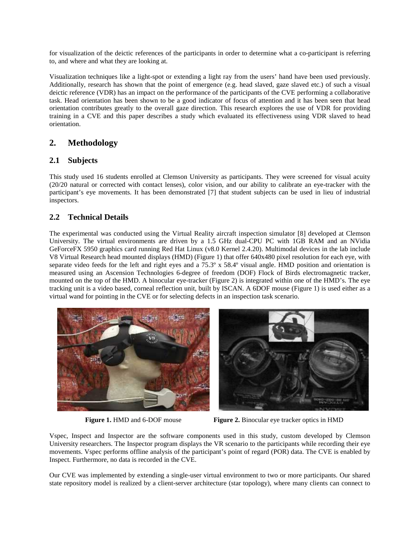for visualization of the deictic references of the participants in order to determine what a co-participant is referring to, and where and what they are looking at.

Visualization techniques like a light-spot or extending a light ray from the users' hand have been used previously. Additionally, research has shown that the point of emergence (e.g. head slaved, gaze slaved etc.) of such a visual deictic reference (VDR) has an impact on the performance of the participants of the CVE performing a collaborative task. Head orientation has been shown to be a good indicator of focus of attention and it has been seen that head orientation contributes greatly to the overall gaze direction. This research explores the use of VDR for providing training in a CVE and this paper describes a study which evaluated its effectiveness using VDR slaved to head orientation.

# **2. Methodology**

### **2.1 Subjects**

This study used 16 students enrolled at Clemson University as participants. They were screened for visual acuity (20/20 natural or corrected with contact lenses), color vision, and our ability to calibrate an eye-tracker with the participant's eye movements. It has been demonstrated [7] that student subjects can be used in lieu of industrial inspectors.

## **2.2 Technical Details**

The experimental was conducted using the Virtual Reality aircraft inspection simulator [8] developed at Clemson University. The virtual environments are driven by a 1.5 GHz dual-CPU PC with 1GB RAM and an NVidia GeForceFX 5950 graphics card running Red Hat Linux (v8.0 Kernel 2.4.20). Multimodal devices in the lab include V8 Virtual Research head mounted displays (HMD) (Figure 1) that offer 640x480 pixel resolution for each eye, with separate video feeds for the left and right eyes and a 75.3º x 58.4º visual angle. HMD position and orientation is measured using an Ascension Technologies 6-degree of freedom (DOF) Flock of Birds electromagnetic tracker, mounted on the top of the HMD. A binocular eye-tracker (Figure 2) is integrated within one of the HMD's. The eye tracking unit is a video based, corneal reflection unit, built by ISCAN. A 6DOF mouse (Figure 1) is used either as a virtual wand for pointing in the CVE or for selecting defects in an inspection task scenario.





**Figure 1.** HMD and 6-DOF mouse **Figure 2.** Binocular eye tracker optics in HMD

Vspec, Inspect and Inspector are the software components used in this study, custom developed by Clemson University researchers. The Inspector program displays the VR scenario to the participants while recording their eye movements. Vspec performs offline analysis of the participant's point of regard (POR) data. The CVE is enabled by Inspect. Furthermore, no data is recorded in the CVE.

Our CVE was implemented by extending a single-user virtual environment to two or more participants. Our shared state repository model is realized by a client-server architecture (star topology), where many clients can connect to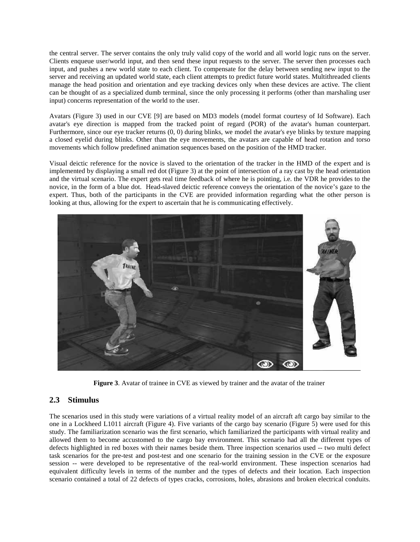the central server. The server contains the only truly valid copy of the world and all world logic runs on the server. Clients enqueue user/world input, and then send these input requests to the server. The server then processes each input, and pushes a new world state to each client. To compensate for the delay between sending new input to the server and receiving an updated world state, each client attempts to predict future world states. Multithreaded clients manage the head position and orientation and eye tracking devices only when these devices are active. The client can be thought of as a specialized dumb terminal, since the only processing it performs (other than marshaling user input) concerns representation of the world to the user.

Avatars (Figure 3) used in our CVE [9] are based on MD3 models (model format courtesy of Id Software). Each avatar's eye direction is mapped from the tracked point of regard (POR) of the avatar's human counterpart. Furthermore, since our eye tracker returns (0, 0) during blinks, we model the avatar's eye blinks by texture mapping a closed eyelid during blinks. Other than the eye movements, the avatars are capable of head rotation and torso movements which follow predefined animation sequences based on the position of the HMD tracker.

Visual deictic reference for the novice is slaved to the orientation of the tracker in the HMD of the expert and is implemented by displaying a small red dot (Figure 3) at the point of intersection of a ray cast by the head orientation and the virtual scenario. The expert gets real time feedback of where he is pointing, i.e. the VDR he provides to the novice, in the form of a blue dot. Head-slaved deictic reference conveys the orientation of the novice's gaze to the expert. Thus, both of the participants in the CVE are provided information regarding what the other person is looking at thus, allowing for the expert to ascertain that he is communicating effectively.



**Figure 3**. Avatar of trainee in CVE as viewed by trainer and the avatar of the trainer

### **2.3 Stimulus**

The scenarios used in this study were variations of a virtual reality model of an aircraft aft cargo bay similar to the one in a Lockheed L1011 aircraft (Figure 4). Five variants of the cargo bay scenario (Figure 5) were used for this study. The familiarization scenario was the first scenario, which familiarized the participants with virtual reality and allowed them to become accustomed to the cargo bay environment. This scenario had all the different types of defects highlighted in red boxes with their names beside them. Three inspection scenarios used -- two multi defect task scenarios for the pre-test and post-test and one scenario for the training session in the CVE or the exposure session -- were developed to be representative of the real-world environment. These inspection scenarios had equivalent difficulty levels in terms of the number and the types of defects and their location. Each inspection scenario contained a total of 22 defects of types cracks, corrosions, holes, abrasions and broken electrical conduits.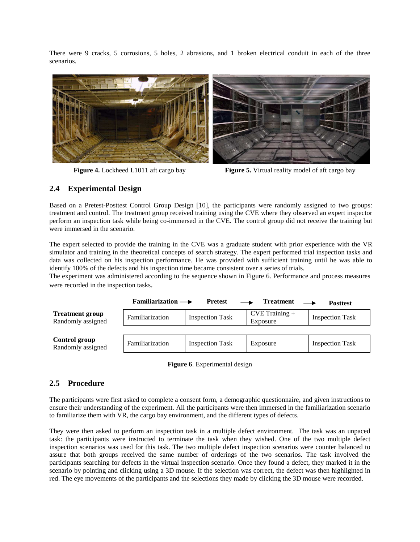There were 9 cracks, 5 corrosions, 5 holes, 2 abrasions, and 1 broken electrical conduit in each of the three scenarios.



**Figure 4.** Lockheed L1011 aft cargo bay **Figure 5.** Virtual reality model of aft cargo bay

### **2.4 Experimental Design**

Based on a Pretest-Posttest Control Group Design [10], the participants were randomly assigned to two groups: treatment and control. The treatment group received training using the CVE where they observed an expert inspector perform an inspection task while being co-immersed in the CVE. The control group did not receive the training but were immersed in the scenario.

The expert selected to provide the training in the CVE was a graduate student with prior experience with the VR simulator and training in the theoretical concepts of search strategy. The expert performed trial inspection tasks and data was collected on his inspection performance. He was provided with sufficient training until he was able to identify 100% of the defects and his inspection time became consistent over a series of trials.

The experiment was administered according to the sequence shown in Figure 6. Performance and process measures were recorded in the inspection tasks.

|                                             | Familiarization $\longrightarrow$ | <b>Pretest</b>         | <b>Treatment</b>               | <b>Posttest</b>        |
|---------------------------------------------|-----------------------------------|------------------------|--------------------------------|------------------------|
| <b>Treatment group</b><br>Randomly assigned | Familiarization                   | <b>Inspection Task</b> | $CVE$ Training $+$<br>Exposure | <b>Inspection Task</b> |
|                                             |                                   |                        |                                |                        |
| Control group<br>Randomly assigned          | Familiarization                   | <b>Inspection Task</b> | Exposure                       | <b>Inspection Task</b> |

**Figure 6**. Experimental design

### **2.5 Procedure**

The participants were first asked to complete a consent form, a demographic questionnaire, and given instructions to ensure their understanding of the experiment. All the participants were then immersed in the familiarization scenario to familiarize them with VR, the cargo bay environment, and the different types of defects.

They were then asked to perform an inspection task in a multiple defect environment. The task was an unpaced task: the participants were instructed to terminate the task when they wished. One of the two multiple defect inspection scenarios was used for this task. The two multiple defect inspection scenarios were counter balanced to assure that both groups received the same number of orderings of the two scenarios. The task involved the participants searching for defects in the virtual inspection scenario. Once they found a defect, they marked it in the scenario by pointing and clicking using a 3D mouse. If the selection was correct, the defect was then highlighted in red. The eye movements of the participants and the selections they made by clicking the 3D mouse were recorded.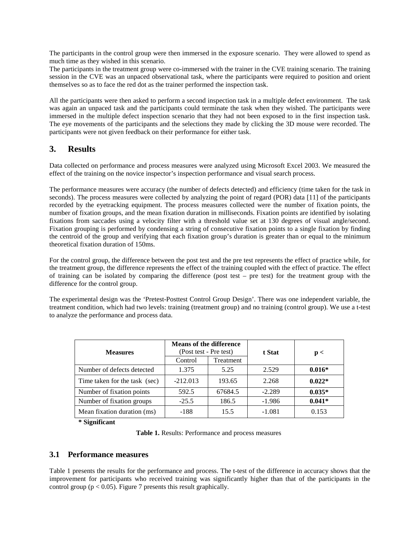The participants in the control group were then immersed in the exposure scenario. They were allowed to spend as much time as they wished in this scenario.

The participants in the treatment group were co-immersed with the trainer in the CVE training scenario. The training session in the CVE was an unpaced observational task, where the participants were required to position and orient themselves so as to face the red dot as the trainer performed the inspection task.

All the participants were then asked to perform a second inspection task in a multiple defect environment. The task was again an unpaced task and the participants could terminate the task when they wished. The participants were immersed in the multiple defect inspection scenario that they had not been exposed to in the first inspection task. The eye movements of the participants and the selections they made by clicking the 3D mouse were recorded. The participants were not given feedback on their performance for either task.

### **3. Results**

Data collected on performance and process measures were analyzed using Microsoft Excel 2003. We measured the effect of the training on the novice inspector's inspection performance and visual search process.

The performance measures were accuracy (the number of defects detected) and efficiency (time taken for the task in seconds). The process measures were collected by analyzing the point of regard (POR) data [11] of the participants recorded by the eyetracking equipment. The process measures collected were the number of fixation points, the number of fixation groups, and the mean fixation duration in milliseconds. Fixation points are identified by isolating fixations from saccades using a velocity filter with a threshold value set at 130 degrees of visual angle/second. Fixation grouping is performed by condensing a string of consecutive fixation points to a single fixation by finding the centroid of the group and verifying that each fixation group's duration is greater than or equal to the minimum theoretical fixation duration of 150ms.

For the control group, the difference between the post test and the pre test represents the effect of practice while, for the treatment group, the difference represents the effect of the training coupled with the effect of practice. The effect of training can be isolated by comparing the difference (post test – pre test) for the treatment group with the difference for the control group.

The experimental design was the 'Pretest-Posttest Control Group Design'. There was one independent variable, the treatment condition, which had two levels: training (treatment group) and no training (control group). We use a t-test to analyze the performance and process data.

| <b>Measures</b>               | <b>Means of the difference</b><br>(Post test - Pre test) |           | t Stat   | p <      |
|-------------------------------|----------------------------------------------------------|-----------|----------|----------|
|                               | Control                                                  | Treatment |          |          |
| Number of defects detected    | 1.375                                                    | 5.25      | 2.529    | $0.016*$ |
| Time taken for the task (sec) | $-212.013$                                               | 193.65    | 2.268    | $0.022*$ |
| Number of fixation points     | 592.5                                                    | 67684.5   | $-2.289$ | $0.035*$ |
| Number of fixation groups     | $-25.5$                                                  | 186.5     | $-1.986$ | $0.041*$ |
| Mean fixation duration (ms)   | $-188$                                                   | 15.5      | $-1.081$ | 0.153    |

**\* Significant** 

**Table 1.** Results: Performance and process measures

### **3.1 Performance measures**

Table 1 presents the results for the performance and process. The t-test of the difference in accuracy shows that the improvement for participants who received training was significantly higher than that of the participants in the control group ( $p < 0.05$ ). Figure 7 presents this result graphically.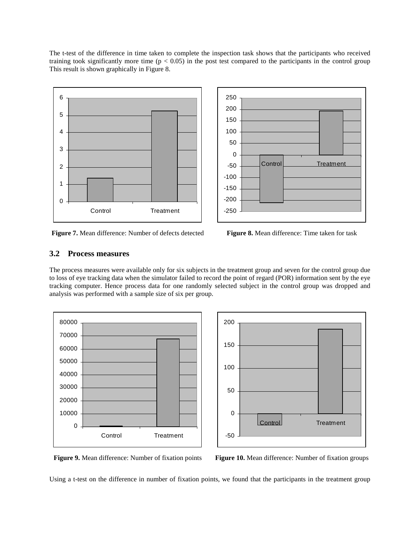The t-test of the difference in time taken to complete the inspection task shows that the participants who received training took significantly more time ( $p < 0.05$ ) in the post test compared to the participants in the control group This result is shown graphically in Figure 8.



**Figure 7.** Mean difference: Number of defects detected **Figure 8.** Mean difference: Time taken for task



### **3.2 Process measures**

The process measures were available only for six subjects in the treatment group and seven for the control group due to loss of eye tracking data when the simulator failed to record the point of regard (POR) information sent by the eye tracking computer. Hence process data for one randomly selected subject in the control group was dropped and analysis was performed with a sample size of six per group.





**Figure 9.** Mean difference: Number of fixation points **Figure 10.** Mean difference: Number of fixation groups

Using a t-test on the difference in number of fixation points, we found that the participants in the treatment group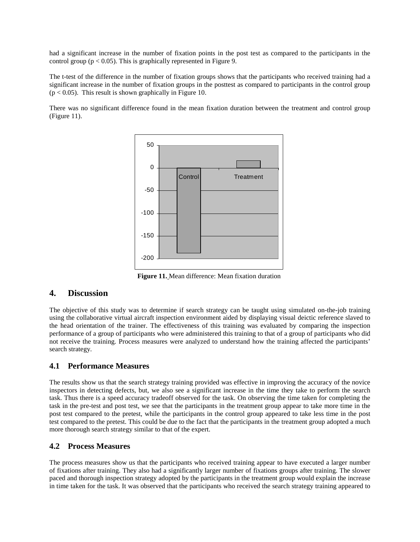had a significant increase in the number of fixation points in the post test as compared to the participants in the control group ( $p < 0.05$ ). This is graphically represented in Figure 9.

The t-test of the difference in the number of fixation groups shows that the participants who received training had a significant increase in the number of fixation groups in the posttest as compared to participants in the control group  $(p < 0.05)$ . This result is shown graphically in Figure 10.

There was no significant difference found in the mean fixation duration between the treatment and control group (Figure 11).



**Figure 11.** Mean difference: Mean fixation duration

### **4. Discussion**

The objective of this study was to determine if search strategy can be taught using simulated on-the-job training using the collaborative virtual aircraft inspection environment aided by displaying visual deictic reference slaved to the head orientation of the trainer. The effectiveness of this training was evaluated by comparing the inspection performance of a group of participants who were administered this training to that of a group of participants who did not receive the training. Process measures were analyzed to understand how the training affected the participants' search strategy.

### **4.1 Performance Measures**

The results show us that the search strategy training provided was effective in improving the accuracy of the novice inspectors in detecting defects, but, we also see a significant increase in the time they take to perform the search task. Thus there is a speed accuracy tradeoff observed for the task. On observing the time taken for completing the task in the pre-test and post test, we see that the participants in the treatment group appear to take more time in the post test compared to the pretest, while the participants in the control group appeared to take less time in the post test compared to the pretest. This could be due to the fact that the participants in the treatment group adopted a much more thorough search strategy similar to that of the expert.

### **4.2 Process Measures**

The process measures show us that the participants who received training appear to have executed a larger number of fixations after training. They also had a significantly larger number of fixations groups after training. The slower paced and thorough inspection strategy adopted by the participants in the treatment group would explain the increase in time taken for the task. It was observed that the participants who received the search strategy training appeared to